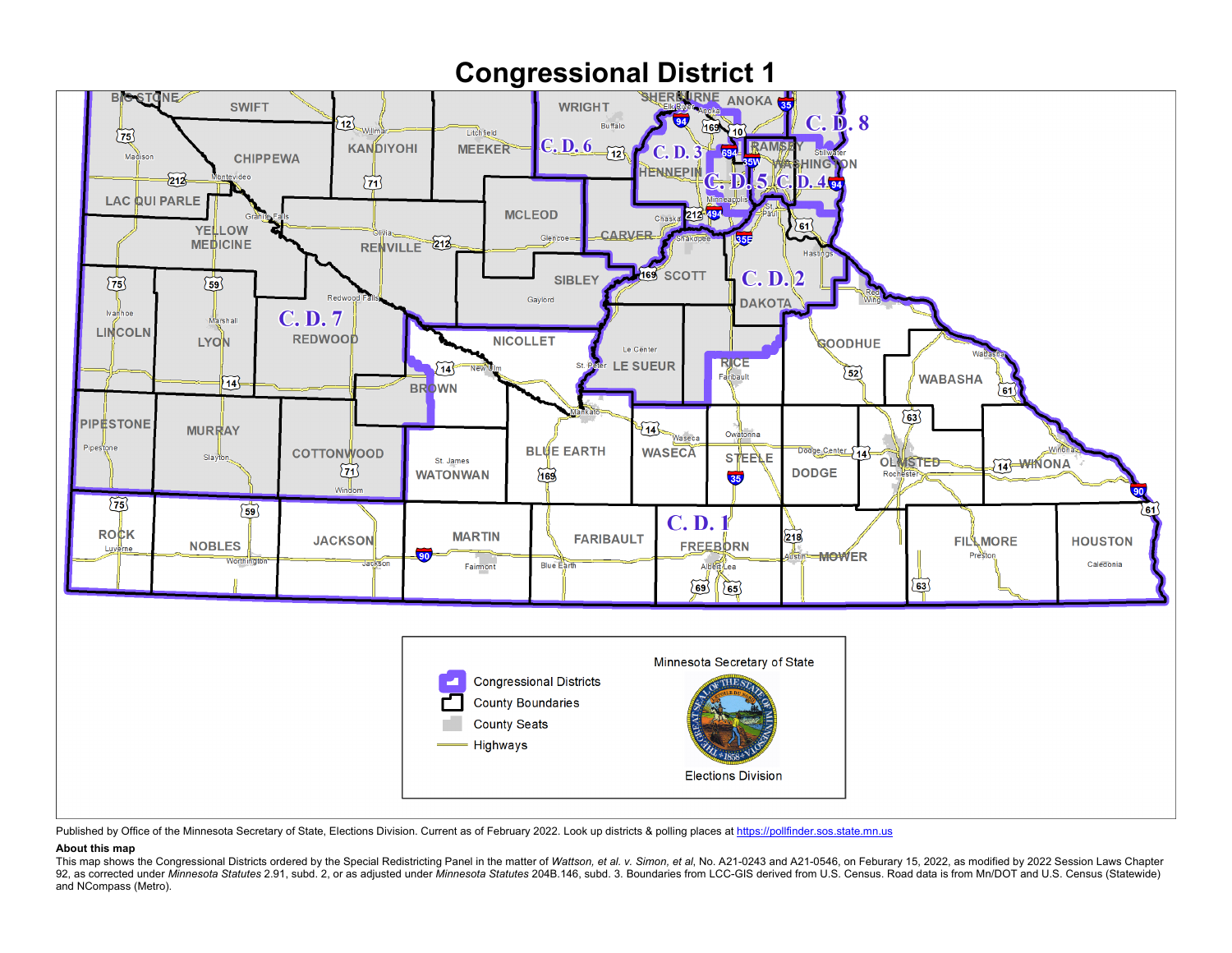

Published by Office of the Minnesota Secretary of State, Elections Division. Current as of February 2022. Look up districts & polling places a[t https://pollfinder.sos.state.mn.us](https://pollfinder.sos.state.mn.us/)

## **About this map**

This map shows the Congressional Districts ordered by the Special Redistricting Panel in the matter of Wattson, et al. v. Simon, et al. No. A21-0243 and A21-0546, on Feburary 15, 2022, as modified by 2022 Session Laws Chap 92, as corrected under Minnesota Statutes 2.91, subd. 2, or as adjusted under Minnesota Statutes 204B.146, subd. 3. Boundaries from LCC-GIS derived from U.S. Census. Road data is from Mn/DOT and U.S. Census (Statewide) and NCompass (Metro).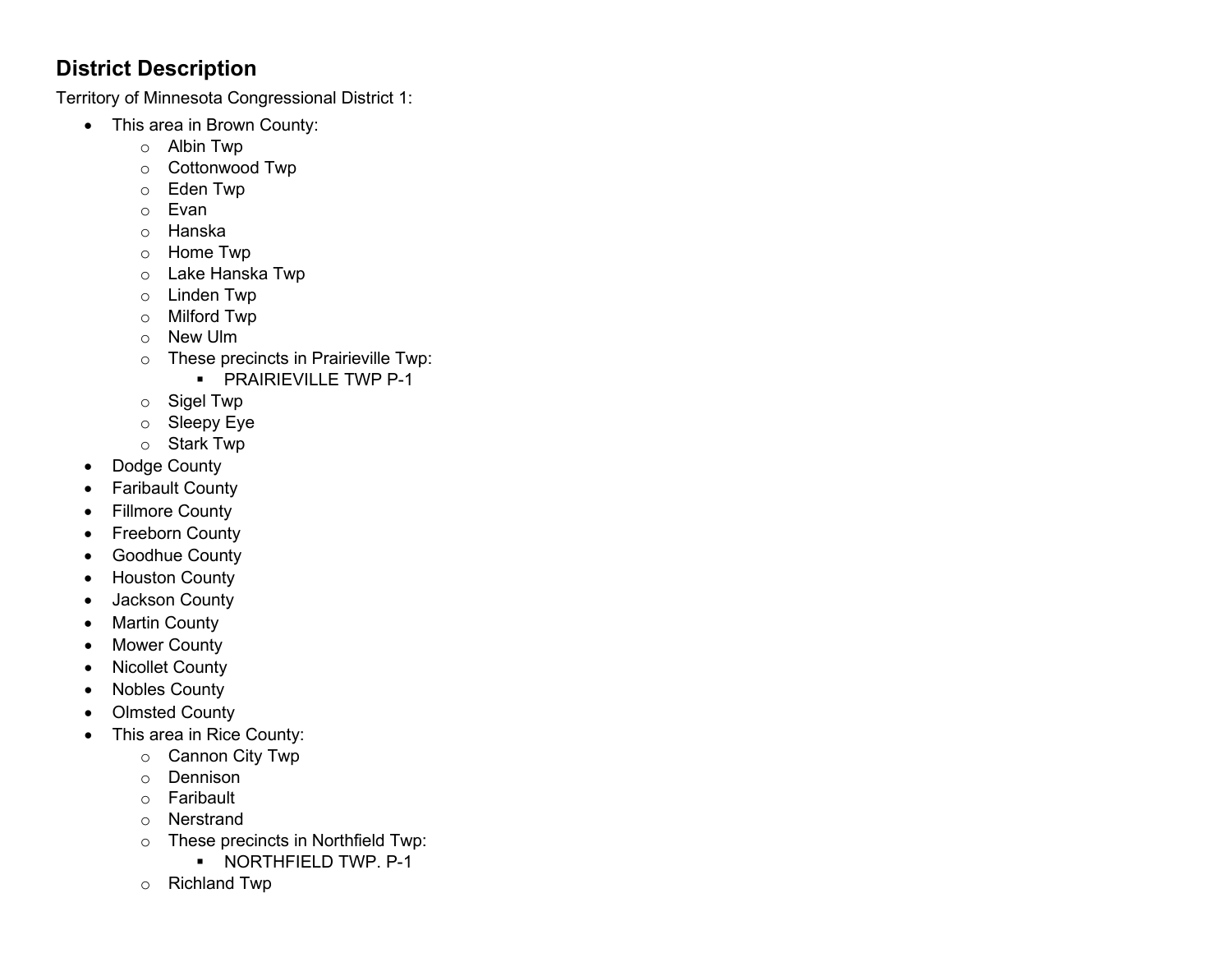## **District Description**

Territory of Minnesota Congressional District 1:

- This area in Brown County:
	- o Albin Twp
	- o Cottonwood Twp
	- o Eden Twp
	- o Evan
	- o Hanska
	- o Home Twp
	- o Lake Hanska Twp
	- o Linden Twp
	- o Milford Twp
	- o New Ulm
	- o These precincts in Prairieville Twp:
		- **PRAIRIEVILLE TWP P-1**
	- o Sigel Twp
	- o Sleepy Eye
	- o Stark Twp
- Dodge County
- Faribault County
- Fillmore County
- Freeborn County
- Goodhue County
- Houston County
- Jackson County
- Martin County
- Mower County
- Nicollet County
- Nobles County
- Olmsted County
- This area in Rice County:
	- o Cannon City Twp
	- o Dennison
	- o Faribault
	- o Nerstrand
	- o These precincts in Northfield Twp:
		- **NORTHFIELD TWP. P-1**
	- o Richland Twp